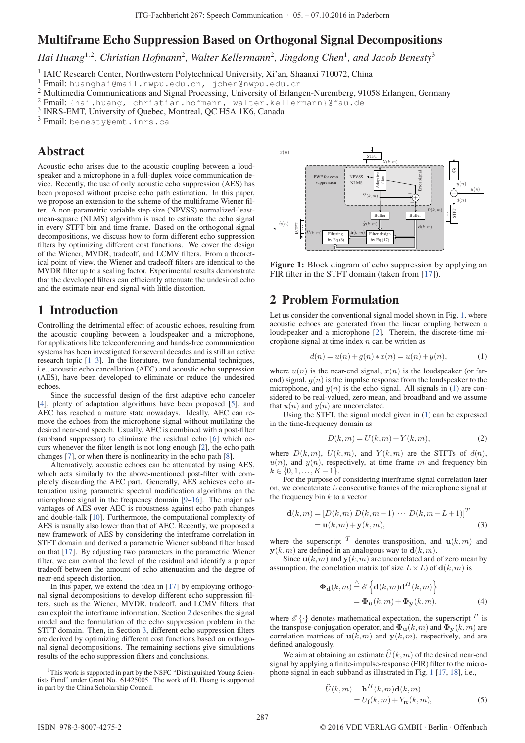# Multiframe Echo Suppression Based on Orthogonal Signal Decompositions

*Hai Huang*<sup>1</sup>,<sup>2</sup>*, Christian Hofmann*<sup>2</sup>*, Walter Kellermann*<sup>2</sup>*, Jingdong Chen*<sup>1</sup>*, and Jacob Benesty*<sup>3</sup>

<sup>1</sup> IAIC Research Center, Northwestern Polytechnical University, Xi'an, Shaanxi 710072, China

- <sup>2</sup> Multimedia Communications and Signal Processing, University of Erlangen-Nuremberg, 91058 Erlangen, Germany
- <sup>2</sup> Email: {hai.huang, christian.hofmann, walter.kellermann}@fau.de
- <sup>3</sup> INRS-EMT, University of Quebec, Montreal, QC H5A 1K6, Canada
- <sup>3</sup> Email: benesty@emt.inrs.ca

# Abstract

Acoustic echo arises due to the acoustic coupling between a loudspeaker and a microphone in a full-duplex voice communication device. Recently, the use of only acoustic echo suppression (AES) has been proposed without precise echo path estimation. In this paper, we propose an extension to the scheme of the multiframe Wiener filter. A non-parametric variable step-size (NPVSS) normalized-leastmean-square (NLMS) algorithm is used to estimate the echo signal in every STFT bin and time frame. Based on the orthogonal signal decompositions, we discuss how to form different echo suppression filters by optimizing different cost functions. We cover the design of the Wiener, MVDR, tradeoff, and LCMV filters. From a theoretical point of view, the Wiener and tradeoff filters are identical to the MVDR filter up to a scaling factor. Experimental results demonstrate that the developed filters can efficiently attenuate the undesired echo and the estimate near-end signal with little distortion.

### 1 Introduction

Controlling the detrimental effect of acoustic echoes, resulting from the acoustic coupling between a loudspeaker and a microphone, for applications like teleconferencing and hands-free communication systems has been investigated for several decades and is still an active research topic [1–3]. In the literature, two fundamental techniques, i.e., acoustic echo cancellation (AEC) and acoustic echo suppression (AES), have been developed to eliminate or reduce the undesired echoes.

Since the successful design of the first adaptive echo canceler [4], plenty of adaptation algorithms have been proposed [5], and AEC has reached a mature state nowadays. Ideally, AEC can remove the echoes from the microphone signal without mutilating the desired near-end speech. Usually, AEC is combined with a post-filter (subband suppressor) to eliminate the residual echo [6] which occurs whenever the filter length is not long enough [2], the echo path changes [7], or when there is nonlinearity in the echo path [8].

Alternatively, acoustic echoes can be attenuated by using AES, which acts similarly to the above-mentioned post-filter with completely discarding the AEC part. Generally, AES achieves echo attenuation using parametric spectral modification algorithms on the microphone signal in the frequency domain [9–16]. The major advantages of AES over AEC is robustness against echo path changes and double-talk [10]. Furthermore, the computational complexity of AES is usually also lower than that of AEC. Recently, we proposed a new framework of AES by considering the interframe correlation in STFT domain and derived a parametric Wiener subband filter based on that [17]. By adjusting two parameters in the parametric Wiener filter, we can control the level of the residual and identify a proper tradeoff between the amount of echo attenuation and the degree of near-end speech distortion.

In this paper, we extend the idea in [17] by employing orthogonal signal decompositions to develop different echo suppression filters, such as the Wiener, MVDR, tradeoff, and LCMV filters, that can exploit the interframe information. Section 2 describes the signal model and the formulation of the echo suppression problem in the STFT domain. Then, in Section 3, different echo suppression filters are derived by optimizing different cost functions based on orthogonal signal decompositions. The remaining sections give simulations results of the echo suppression filters and conclusions.



Figure 1: Block diagram of echo suppression by applying an FIR filter in the STFT domain (taken from [17]).

# 2 Problem Formulation

Let us consider the conventional signal model shown in Fig. 1, where acoustic echoes are generated from the linear coupling between a loudspeaker and a microphone [2]. Therein, the discrete-time microphone signal at time index  $n$  can be written as

$$
d(n) = u(n) + g(n) * x(n) = u(n) + y(n),
$$
 (1)

where  $u(n)$  is the near-end signal,  $x(n)$  is the loudspeaker (or farend) signal,  $g(n)$  is the impulse response from the loudspeaker to the microphone, and  $y(n)$  is the echo signal. All signals in (1) are considered to be real-valued, zero mean, and broadband and we assume that  $u(n)$  and  $y(n)$  are uncorrelated.

Using the STFT, the signal model given in (1) can be expressed in the time-frequency domain as

$$
D(k,m) = U(k,m) + Y(k,m),\tag{2}
$$

where  $D(k,m)$ ,  $U(k,m)$ , and  $Y(k,m)$  are the STFTs of  $d(n)$ ,  $u(n)$ , and  $y(n)$ , respectively, at time frame m and frequency bin  $k \in \{0,1,\ldots,K-1\}.$ 

For the purpose of considering interframe signal correlation later on, we concatenate L consecutive frames of the microphone signal at the frequency bin  $k$  to a vector

$$
\mathbf{d}(k,m) = [D(k,m) D(k,m-1) \cdots D(k,m-L+1)]^T
$$
  
=  $\mathbf{u}(k,m) + \mathbf{y}(k,m)$ , (3)

where the superscript  $T$  denotes transposition, and  $\mathbf{u}(k,m)$  and  $y(k,m)$  are defined in an analogous way to  $d(k,m)$ .

Since  $\mathbf{u}(k,m)$  and  $\mathbf{y}(k,m)$  are uncorrelated and of zero mean by assumption, the correlation matrix (of size  $L \times L$ ) of  $\mathbf{d}(k,m)$  is

$$
\begin{aligned} \n\Phi_{\mathbf{d}}(k,m) & \stackrel{\triangle}{=} \mathscr{E} \left\{ \mathbf{d}(k,m) \mathbf{d}^H(k,m) \right\} \\ \n& = \Phi_{\mathbf{u}}(k,m) + \Phi_{\mathbf{y}}(k,m), \n\end{aligned} \tag{4}
$$

where  $\mathscr{E}\{\cdot\}$  denotes mathematical expectation, the superscript  $^H$  is the transpose-conjugation operator, and  $\Phi_{\mathbf{u}}(k,m)$  and  $\Phi_{\mathbf{y}}(k,m)$  are correlation matrices of  $\mathbf{u}(k,m)$  and  $\mathbf{y}(k,m)$ , respectively, and are defined analogously.

We aim at obtaining an estimate  $\hat{U}(k,m)$  of the desired near-end signal by applying a finite-impulse-response (FIR) filter to the microphone signal in each subband as illustrated in Fig. 1 [17, 18], i.e.,

$$
\widehat{U}(k,m) = \mathbf{h}^{H}(k,m)\mathbf{d}(k,m)
$$
  
=  $U_{\rm f}(k,m) + Y_{\rm re}(k,m),$  (5)

<sup>1</sup> Email: huanghai@mail.nwpu.edu.cn, jchen@nwpu.edu.cn

<sup>&</sup>lt;sup>1</sup>This work is supported in part by the NSFC "Distinguished Young Scientists Fund" under Grant No. 61425005. The work of H. Huang is supported in part by the China Scholarship Council.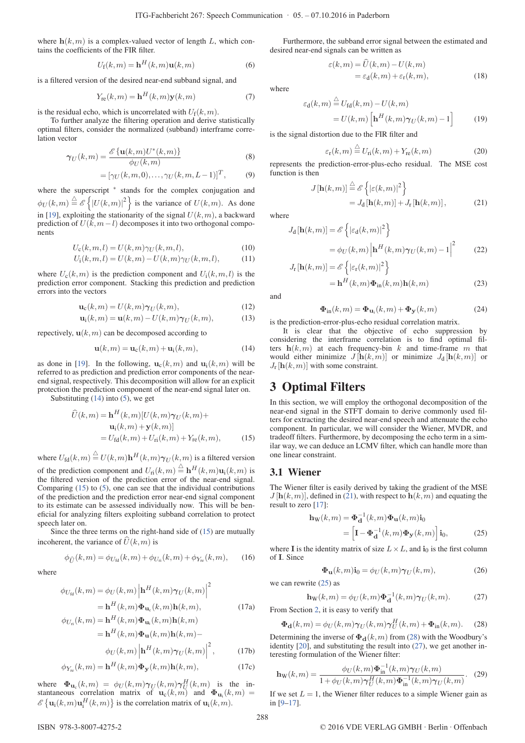where  $h(k,m)$  is a complex-valued vector of length L, which contains the coefficients of the FIR filter.

$$
U_{\mathbf{f}}(k,m) = \mathbf{h}^{H}(k,m)\mathbf{u}(k,m)
$$
 (6)

is a filtered version of the desired near-end subband signal, and

$$
Y_{\rm re}(k,m) = \mathbf{h}^H(k,m)\mathbf{y}(k,m) \tag{7}
$$

is the residual echo, which is uncorrelated with  $U_f(k,m)$ .

To further analyze the filtering operation and derive statistically optimal filters, consider the normalized (subband) interframe correlation vector

$$
\gamma_U(k,m) = \frac{\mathscr{E}\{\mathbf{u}(k,m)U^*(k,m)\}}{\phi_U(k,m)}\tag{8}
$$

$$
= [\gamma_U(k,m,0), \ldots, \gamma_U(k,m,L-1)]^T, \qquad (9)
$$

where the superscript  $*$  stands for the complex conjugation and  $\phi_U(k,m) \stackrel{\triangle}{=} \mathscr{E} \left\{ |U(k,m)|^2 \right\}$  is the variance of  $U(k,m)$ . As done in [19], exploiting the stationarity of the signal  $U(k,m)$ , a backward prediction of  $U(k, m-l)$  decomposes it into two orthogonal components

$$
U_{\rm c}(k,m,l) = U(k,m)\gamma_U(k,m,l),\qquad(10)
$$

$$
U_{i}(k,m,l) = U(k,m) - U(k,m)\gamma_{U}(k,m,l),
$$
 (11)

where  $U_c(k,m)$  is the prediction component and  $U_i(k,m,l)$  is the prediction error component. Stacking this prediction and prediction errors into the vectors

$$
\mathbf{u}_{\rm c}(k,m) = U(k,m)\boldsymbol{\gamma}_U(k,m),\tag{12}
$$

$$
\mathbf{u}_{\mathbf{i}}(k,m) = \mathbf{u}(k,m) - U(k,m)\boldsymbol{\gamma}_{U}(k,m),\tag{13}
$$

repectively,  $\mathbf{u}(k,m)$  can be decomposed according to

$$
\mathbf{u}(k,m) = \mathbf{u}_c(k,m) + \mathbf{u}_i(k,m),\tag{14}
$$

as done in [19]. In the following,  $\mathbf{u}_c(k,m)$  and  $\mathbf{u}_i(k,m)$  will be referred to as prediction and prediction error components of the nearend signal, respectively. This decomposition will allow for an explicit protection the prediction component of the near-end signal later on.

Substituting  $(14)$  into  $(5)$ , we get

$$
\widehat{U}(k,m) = \mathbf{h}^{H}(k,m)[U(k,m)\boldsymbol{\gamma}_{U}(k,m)+\mathbf{u}_{i}(k,m)+\mathbf{y}(k,m)]
$$

$$
= U_{\text{fd}}(k,m) + U_{\text{ri}}(k,m) + Y_{\text{re}}(k,m), \tag{15}
$$

where  $U_{\text{fd}}(k,m) \stackrel{\triangle}{=} U(k,m) \mathbf{h}^H(k,m) \gamma_U(k,m)$  is a filtered version of the prediction component and  $U_{\text{ri}}(k,m) \stackrel{\triangle}{=} \mathbf{h}^H(k,m)\mathbf{u}_{\text{i}}(k,m)$  is the filtered version of the prediction error of the near-end signal. Comparing (15) to (5), one can see that the individual contributions of the prediction and the prediction error near-end signal component to its estimate can be assessed individually now. This will be beneficial for analyzing filters exploiting subband correlation to protect speech later on.

Since the three terms on the right-hand side of (15) are mutually incoherent, the variance of  $\tilde{U}(k,m)$  is

$$
\phi_{\hat{U}}(k,m) = \phi_{U_{\text{fd}}}(k,m) + \phi_{U_{\text{ri}}}(k,m) + \phi_{Y_{\text{re}}}(k,m), \quad (16)
$$

where

$$
\phi_{U_{\rm fd}}(k,m) = \phi_U(k,m) \left| \mathbf{h}^H(k,m) \gamma_U(k,m) \right|^2
$$

$$
= \mathbf{h}^H(k,m) \Phi_{\mathbf{u}_c}(k,m) \mathbf{h}(k,m), \qquad (17a)
$$

$$
\phi_{U_{\rm fl}}(k,m) = \mathbf{h}^H(k,m)\boldsymbol{\Phi}_{\mathbf{u}_{\rm i}}(k,m)\mathbf{h}(k,m)
$$

$$
= \mathbf{h}^H(k,m)\boldsymbol{\Phi}_{\mathbf{u}}(k,m)\mathbf{h}(k,m) -
$$

$$
\phi_U(k,m) \left| \mathbf{h}^H(k,m)\boldsymbol{\gamma}_U(k,m) \right|^2, \tag{17b}
$$

$$
\phi_{Y_{\mathbf{r}}}(k,m) = \mathbf{h}^H(k,m)\Phi_{\mathbf{y}}(k,m)\mathbf{h}(k,m),\tag{17c}
$$

where  $\Phi_{\mathbf{u}_c}(k,m) = \phi_U(k,m) \gamma_U(k,m) \gamma_U^H(k,m)$  is the instantaneous correlation matrix of  $\mathbf{u}_c(k,m)$  and  $\mathbf{\Phi}_{\mathbf{u}_i}(k,m)$ stantaneous correlation matrix of  $\mathbf{u}_c(k,m)$  and  $\mathbf{\Phi}_{\mathbf{u}_i}(k)$ .<br>  $\mathscr{E}\{\mathbf{u}_i(k,m)\mathbf{u}_i^H(k,m)\}\$  is the correlation matrix of  $\mathbf{u}_i(k,m)$ .

Furthermore, the subband error signal between the estimated and desired near-end signals can be written as

 $\varepsilon(k,m) = \widehat{U}(k,m) - U(k,m)$ 

where

$$
\varepsilon_{\mathbf{d}}(k,m) \stackrel{\triangle}{=} U_{\mathbf{fd}}(k,m) - U(k,m)
$$

$$
= U(k,m) \left[ \mathbf{h}^{H}(k,m) \gamma_{U}(k,m) - 1 \right]
$$
(19)

is the signal distortion due to the FIR filter and

$$
\varepsilon_{\rm r}(k,m) \stackrel{\triangle}{=} U_{\rm ri}(k,m) + Y_{\rm re}(k,m) \tag{20}
$$

 $= \varepsilon_d(k,m) + \varepsilon_r(k,m),$  (18)

represents the prediction-error-plus-echo residual. The MSE cost function is then  $\overline{a}$  $\mathbf{r}$ 

$$
J[\mathbf{h}(k,m)] \stackrel{\triangle}{=} \mathscr{E} \left\{ |\varepsilon(k,m)|^2 \right\}
$$
  
=  $J_{\mathbf{d}}[\mathbf{h}(k,m)] + J_{\mathbf{r}}[\mathbf{h}(k,m)],$  (21)

where

$$
J_{d}[\mathbf{h}(k,m)] = \mathscr{E}\left\{|\varepsilon_{d}(k,m)|^{2}\right\}
$$

$$
= \phi_{U}(k,m)\left|\mathbf{h}^{H}(k,m)\gamma_{U}(k,m)-1\right|^{2} \qquad (22)
$$

$$
J_{\mathbf{r}}[\mathbf{h}(k,m)] = \mathscr{E}\left\{ |\varepsilon_{\mathbf{r}}(k,m)|^2 \right\}
$$
  
=  $\mathbf{h}^H(k,m)\mathbf{\Phi}_{\text{in}}(k,m)\mathbf{h}(k,m)$  (23)

and

$$
\mathbf{\Phi}_{\rm in}(k,m) = \mathbf{\Phi}_{\mathbf{u}_{\rm i}}(k,m) + \mathbf{\Phi}_{\mathbf{y}}(k,m) \tag{24}
$$

is the prediction-error-plus-echo residual correlation matrix.

It is clear that the objective of echo suppression by considering the interframe correlation is to find optimal filters  $h(k,m)$  at each frequency-bin k and time-frame m that would either minimize  $J[\mathbf{h}(k,m)]$  or minimize  $J_d[\mathbf{h}(k,m)]$  or  $J_r$  [**h**( $k, m$ )] with some constraint.

## 3 Optimal Filters

In this section, we will employ the orthogonal decomposition of the near-end signal in the STFT domain to derive commonly used filters for extracting the desired near-end speech and attenuate the echo component. In particular, we will consider the Wiener, MVDR, and tradeoff filters. Furthermore, by decomposing the echo term in a similar way, we can deduce an LCMV filter, which can handle more than one linear constraint.

#### 3.1 Wiener

The Wiener filter is easily derived by taking the gradient of the MSE  $J$ [**h**( $k, m$ )], defined in (21), with respect to **h**( $k, m$ ) and equating the result to zero [17]:

$$
\mathbf{h}_{\mathbf{W}}(k,m) = \mathbf{\Phi}_{\mathbf{d}}^{-1}(k,m)\mathbf{\Phi}_{\mathbf{u}}(k,m)\mathbf{i}_{0}
$$

$$
= \left[\mathbf{I} - \mathbf{\Phi}_{\mathbf{d}}^{-1}(k,m)\mathbf{\Phi}_{\mathbf{y}}(k,m)\right]\mathbf{i}_{0}, \tag{25}
$$

where **I** is the identity matrix of size  $L \times L$ , and **i**<sub>0</sub> is the first column of **I**. Since

$$
\mathbf{\Phi}_{\mathbf{u}}(k,m)\mathbf{i}_{0} = \phi_{U}(k,m)\boldsymbol{\gamma}_{U}(k,m),\tag{26}
$$

we can rewrite (25) as

$$
\mathbf{h}_{\mathbf{W}}(k,m) = \phi_U(k,m)\mathbf{\Phi}_{\mathbf{d}}^{-1}(k,m)\boldsymbol{\gamma}_U(k,m). \tag{27}
$$

From Section 2, it is easy to verify that

$$
\mathbf{\Phi}_{\mathbf{d}}(k,m) = \phi_U(k,m)\boldsymbol{\gamma}_U(k,m)\boldsymbol{\gamma}_U^H(k,m) + \mathbf{\Phi}_{\text{in}}(k,m). \tag{28}
$$

Determining the inverse of  $\Phi_d(k,m)$  from (28) with the Woodbury's identity [20], and substituting the result into (27), we get another interesting formulation of the Wiener filter:

$$
\mathbf{h}_{\mathbf{W}}(k,m) = \frac{\phi_U(k,m)\mathbf{\Phi}_{\mathrm{in}}^{-1}(k,m)\gamma_U(k,m)}{1 + \phi_U(k,m)\gamma_U^H(k,m)\mathbf{\Phi}_{\mathrm{in}}^{-1}(k,m)\gamma_U(k,m)}.
$$
 (29)

If we set  $L = 1$ , the Wiener filter reduces to a simple Wiener gain as in [9–17].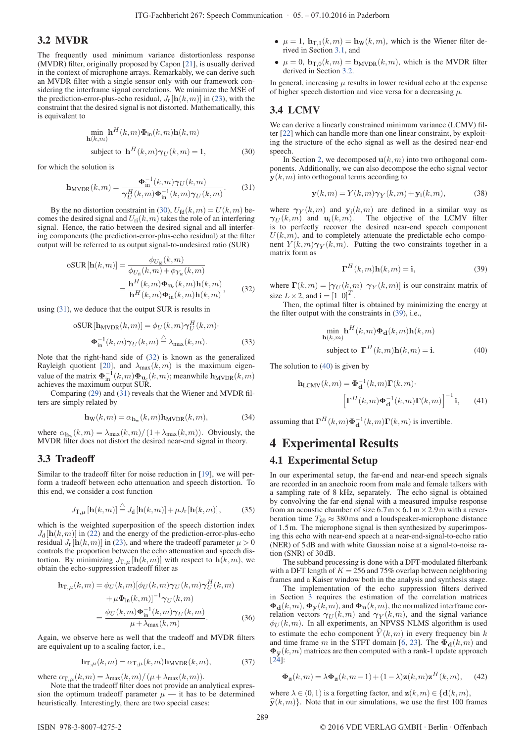#### 3.2 MVDR

The frequently used minimum variance distortionless response (MVDR) filter, originally proposed by Capon [21], is usually derived in the context of microphone arrays. Remarkably, we can derive such an MVDR filter with a single sensor only with our framework considering the interframe signal correlations. We minimize the MSE of the prediction-error-plus-echo residual,  $J_r$  [ $h(k, m)$ ] in (23), with the constraint that the desired signal is not distorted. Mathematically, this is equivalent to

$$
\min_{\mathbf{h}(k,m)} \mathbf{h}^{H}(k,m)\Phi_{\text{in}}(k,m)\mathbf{h}(k,m)
$$
  
subject to 
$$
\mathbf{h}^{H}(k,m)\gamma_{U}(k,m) = 1,
$$
 (30)

for which the solution is

$$
\mathbf{h}_{\text{MVDR}}(k,m) = \frac{\mathbf{\Phi}_{\text{in}}^{-1}(k,m)\gamma_U(k,m)}{\gamma_U^H(k,m)\mathbf{\Phi}_{\text{in}}^{-1}(k,m)\gamma_U(k,m)}.
$$
 (31)

By the no distortion constraint in (30),  $U_{\text{fd}}(k,m) = U(k,m)$  becomes the desired signal and  $U_{\text{ri}}(k,m)$  takes the role of an interfering signal. Hence, the ratio between the desired signal and all interfering components (the prediction-error-plus-echo residual) at the filter output will be referred to as output signal-to-undesired ratio (SUR)

$$
\text{oSUR}[\mathbf{h}(k,m)] = \frac{\phi_{U_{\text{fd}}}(k,m)}{\phi_{U_{\text{fi}}}(k,m) + \phi_{Y_{\text{re}}}(k,m)}
$$

$$
= \frac{\mathbf{h}^H(k,m)\mathbf{\Phi}_{\mathbf{u}_c}(k,m)\mathbf{h}(k,m)}{\mathbf{h}^H(k,m)\mathbf{\Phi}_{\text{in}}(k,m)\mathbf{h}(k,m)},\tag{32}
$$

using (31), we deduce that the output SUR is results in

$$
oSUR[h_{MVDR}(k,m)] = \phi_U(k,m)\gamma_U^H(k,m)
$$

$$
\Phi_{\text{in}}^{-1}(k,m)\gamma_U(k,m) \stackrel{\triangle}{=} \lambda_{\text{max}}(k,m). \tag{33}
$$

Note that the right-hand side of (32) is known as the generalized Rayleigh quotient [20], and  $\lambda_{\text{max}}(k,m)$  is the maximum eigenvalue of the matrix  $\Phi_{\text{in}}^{-1}(k,m) \Phi_{\text{u}_c}(k,m)$ ; meanwhile  $\mathbf{h}_{\text{MVDR}}(k,m)$ achieves the maximum output SUR.

Comparing (29) and (31) reveals that the Wiener and MVDR filters are simply related by

$$
\mathbf{h}_{\mathbf{W}}(k,m) = \alpha_{\mathbf{h}_{\mathbf{w}}}(k,m)\mathbf{h}_{\text{MVDR}}(k,m),\tag{34}
$$

where  $\alpha_{\mathbf{h}_{w}}(k,m) = \lambda_{\max}(k,m)/(1+\lambda_{\max}(k,m))$ . Obviously, the MVDR filter does not distort the desired near-end signal in theory.

#### 3.3 Tradeoff

Similar to the tradeoff filter for noise reduction in [19], we will perform a tradeoff between echo attenuation and speech distortion. To this end, we consider a cost function

$$
J_{\mathbf{T},\mu}\left[\mathbf{h}(k,m)\right] \stackrel{\triangle}{=} J_{\mathbf{d}}\left[\mathbf{h}(k,m)\right] + \mu J_{\mathbf{r}}\left[\mathbf{h}(k,m)\right],\tag{35}
$$

which is the weighted superposition of the speech distortion index  $J_d$  [ $\mathbf{h}(k,m)$ ] in (22) and the energy of the prediction-error-plus-echo residual  $J_r$  [**h**(k, m)] in (23), and where the tradeoff parameter  $\mu > 0$ controls the proportion between the echo attenuation and speech distortion. By minimizing  $J_{\text{T},\mu}[\mathbf{h}(k,m)]$  with respect to  $\mathbf{h}(k,m)$ , we obtain the echo-suppression tradeoff filter as

$$
\mathbf{h}_{\mathrm{T},\mu}(k,m) = \phi_U(k,m)[\phi_U(k,m)\gamma_U(k,m)\gamma_U^H(k,m) \n+ \mu \mathbf{\Phi}_{\mathrm{in}}(k,m)]^{-1} \gamma_U(k,m) \n= \frac{\phi_U(k,m)\mathbf{\Phi}_{\mathrm{in}}^{-1}(k,m)\gamma_U(k,m)}{\mu + \lambda_{\mathrm{max}}(k,m)}.
$$
\n(36)

Again, we observe here as well that the tradeoff and MVDR filters are equivalent up to a scaling factor, i.e.,

$$
\mathbf{h}_{\mathrm{T},\mu}(k,m) = \alpha_{\mathrm{T},\mu}(k,m)\mathbf{h}_{\mathrm{MVDR}}(k,m),\tag{37}
$$

where  $\alpha_{\text{T},\mu}(k,m) = \lambda_{\text{max}}(k,m)/(\mu + \lambda_{\text{max}}(k,m)).$ 

Note that the tradeoff filter does not provide an analytical expression the optimum tradeoff parameter  $\mu$  — it has to be determined heuristically. Interestingly, there are two special cases:

- $\mu = 1$ ,  $\mathbf{h}_{T,1}(k,m) = \mathbf{h}_{W}(k,m)$ , which is the Wiener filter derived in Section 3.1, and
- $\mu = 0$ ,  $\mathbf{h}_{T,0}(k,m) = \mathbf{h}_{MVDR}(k,m)$ , which is the MVDR filter derived in Section 3.2.

In general, increasing  $\mu$  results in lower residual echo at the expense of higher speech distortion and vice versa for a decreasing  $\mu$ .

#### 3.4 LCMV

We can derive a linearly constrained minimum variance (LCMV) filter [22] which can handle more than one linear constraint, by exploiting the structure of the echo signal as well as the desired near-end speech.

In Section 2, we decomposed  $\mathbf{u}(k,m)$  into two orthogonal components. Additionally, we can also decompose the echo signal vector  $y(k,m)$  into orthogonal terms according to

$$
\mathbf{y}(k,m) = Y(k,m)\boldsymbol{\gamma}_Y(k,m) + \mathbf{y}_i(k,m),\tag{38}
$$

where  $\gamma_Y(k,m)$  and  $y_i(k,m)$  are defined in a similar way as  $\gamma_U(k,m)$  and  $\mathbf{u}_i(k,m)$ . The objective of the LCMV filter is to perfectly recover the desired near-end speech component  $U(k,m)$ , and to completely attenuate the predictable echo component  $Y(k,m)\gamma_Y(k,m)$ . Putting the two constraints together in a matrix form as

$$
\Gamma^{H}(k,m)\mathbf{h}(k,m) = \mathbf{i},\tag{39}
$$

where  $\Gamma(k,m)=[\gamma_U (k,m) \ \gamma_Y (k,m)]$  is our constraint matrix of size  $L \times 2$ , and  $\mathbf{i} = \begin{bmatrix} 1 & 0 \end{bmatrix}^T$ .

Then, the optimal filter is obtained by minimizing the energy at the filter output with the constraints in (39), i.e.,

$$
\min_{\mathbf{h}(k,m)} \mathbf{h}^H(k,m)\boldsymbol{\Phi}_{\mathbf{d}}(k,m)\mathbf{h}(k,m)
$$
  
subject to  $\mathbf{\Gamma}^H(k,m)\mathbf{h}(k,m) = \mathbf{i}.$  (40)

The solution to (40) is given by

$$
\mathbf{h}_{\text{LCMV}}(k,m) = \mathbf{\Phi}_{\mathbf{d}}^{-1}(k,m)\mathbf{\Gamma}(k,m)\cdot
$$

$$
\left[\mathbf{\Gamma}^{H}(k,m)\mathbf{\Phi}_{\mathbf{d}}^{-1}(k,m)\mathbf{\Gamma}(k,m)\right]^{-1}\mathbf{i},\qquad(41)
$$

assuming that  $\mathbf{\Gamma}^H(k,m)\mathbf{\Phi}_{\mathbf{d}}^{-1}(k,m)\mathbf{\Gamma}(k,m)$  is invertible.

## 4 Experimental Results

#### 4.1 Experimental Setup

In our experimental setup, the far-end and near-end speech signals are recorded in an anechoic room from male and female talkers with a sampling rate of 8 kHz, separately. The echo signal is obtained by convolving the far-end signal with a measured impulse response from an acoustic chamber of size  $6.7 \text{ m} \times 6.1 \text{ m} \times 2.9 \text{ m}$  with a reverberation time  $T_{60} \approx 380 \,\text{ms}$  and a loudspeaker-microphone distance of 1.5m. The microphone signal is then synthesized by superimposing this echo with near-end speech at a near-end-signal-to-echo ratio (NER) of 5 dB and with white Gaussian noise at a signal-to-noise ration (SNR) of 30 dB.

The subband processing is done with a DFT-modulated filterbank with a DFT length of  $K = 256$  and 75% overlap between neighboring frames and a Kaiser window both in the analysis and synthesis stage.

The implementation of the echo suppression filters derived in Section 3 requires the estimation of the correlation matrices  $\Phi_{\mathbf{d}}(k,m)$ ,  $\Phi_{\mathbf{y}}(k,m)$ , and  $\Phi_{\mathbf{u}}(k,m)$ , the normalized interframe correlation vectors  $\gamma_U(k,m)$  and  $\gamma_Y(k,m)$ , and the signal variance  $\phi_U(k,m)$ . In all experiments, an NPVSS NLMS algorithm is used to estimate the echo component  $\hat{Y}(k,m)$  in every frequency bin k and time frame m in the STFT domain [6, 23]. The  $\Phi_d(k,m)$  and  $\Phi_{\hat{\mathbf{y}}}(k,m)$  matrices are then computed with a rank-1 update approach  $[24]$ :

$$
\mathbf{\Phi}_{\mathbf{z}}(k,m) = \lambda \mathbf{\Phi}_{\mathbf{z}}(k,m-1) + (1-\lambda)\mathbf{z}(k,m)\mathbf{z}^H(k,m), \quad (42)
$$

where  $\lambda \in (0,1)$  is a forgetting factor, and  $z(k,m) \in \{d(k,m),$  $\hat{\mathbf{y}}(k,m)$ . Note that in our simulations, we use the first 100 frames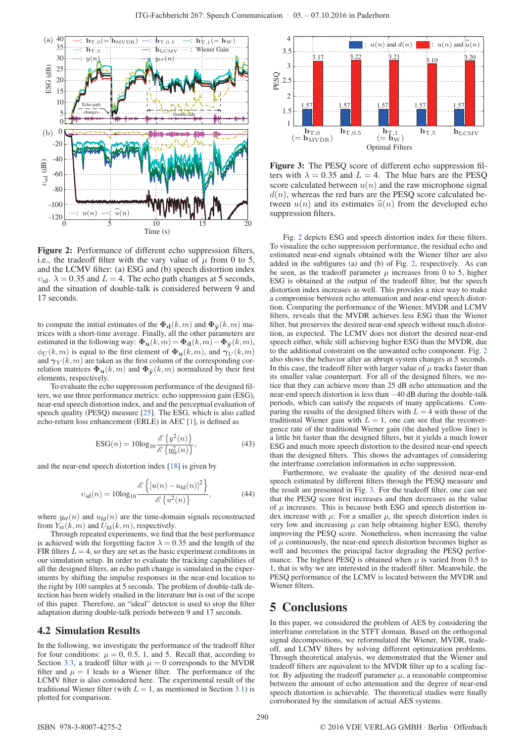

Figure 2: Performance of different echo suppression filters, i.e., the tradeoff filter with the vary value of  $\mu$  from 0 to 5, and the LCMV filter: (a) ESG and (b) speech distortion index  $v_{\rm sd.}$   $\lambda = 0.35$  and  $L = 4$ . The echo path changes at 5 seconds, and the situation of double-talk is considered between 9 and 17 seconds.

to compute the initial estimates of the  $\Phi_{\mathbf{d}}(k,m)$  and  $\Phi_{\widehat{\mathbf{v}}}(k,m)$  matrices with a short-time average. Finally, all the other parameters are estimated in the following way:  $\Phi_{\mathbf{u}}(k,m) = \Phi_{\mathbf{d}}(k,m) - \Phi_{\hat{\mathbf{y}}}(k,m)$ ,  $\phi_U(k,m)$  is equal to the first element of  $\Phi_u(k,m)$ , and  $\gamma_U(k,m)$ and  $\gamma_Y(k,m)$  are taken as the first column of the corresponding correlation matrices  $\Phi_{\mathbf{u}}(k,m)$  and  $\Phi_{\widehat{\mathbf{v}}}(k,m)$  normalized by their first elements, respectively.

To evaluate the echo suppression performance of the designed filters, we use three performance metrics: echo suppression gain (ESG), near-end speech distortion index, and and the perceptual evaluation of speech quality (PESQ) measure [25]. The ESG, which is also called echo-return loss enhancement (ERLE) in AEC [1], is defined as

$$
ESG(n) = 10\log_{10}\frac{\mathscr{E}\left\{y^2(n)\right\}}{\mathscr{E}\left\{y_{\text{re}}^2(n)\right\}},\tag{43}
$$

 $\mathbf{r}$ 

and the near-end speech distortion index [18] is given by

$$
v_{\rm sd}(n) = 10\log_{10} \frac{\mathscr{E}\left\{ [u(n) - u_{\rm fd}(n)]^2 \right\}}{\mathscr{E}\left\{ u^2(n) \right\}},
$$
(44)

where  $y_{\text{re}}(n)$  and  $u_{\text{fd}}(n)$  are the time-domain signals reconstructed from  $Y_{\text{re}}(k,m)$  and  $U_{\text{fd}}(k,m)$ , respectively.

 $\overline{a}$ 

Through repeated experiments, we find that the best performance is achieved with the forgetting factor  $\lambda = 0.35$  and the length of the FIR filters  $L = 4$ , so they are set as the basic experiment conditions in our simulation setup. In order to evaluate the tracking capabilities of all the designed filters, an echo path change is simulated in the experiments by shifting the impulse responses in the near-end location to the right by 100 samples at 5 seconds. The problem of double-talk detection has been widely studied in the literature but is out of the scope of this paper. Therefore, an "ideal" detector is used to stop the filter adaptation during double-talk periods between 9 and 17 seconds.

#### 4.2 Simulation Results

In the following, we investigate the performance of the tradeoff filter for four conditions:  $\mu = 0, 0.5, 1,$  and 5. Recall that, according to Section 3.3, a tradeoff filter with  $\mu = 0$  corresponds to the MVDR filter and  $\mu = 1$  leads to a Wiener filter. The performance of the LCMV filter is also considered here. The experimental result of the traditional Wiener filter (with  $L = 1$ , as mentioned in Section 3.1) is plotted for comparison.



Figure 3: The PESQ score of different echo suppression filters with  $\lambda = 0.35$  and  $L = 4$ . The blue bars are the PESQ score calculated between  $u(n)$  and the raw microphone signal  $d(n)$ , whereas the red bars are the PESQ score calculated between  $u(n)$  and its estimates  $\hat{u}(n)$  from the developed echo suppression filters.

Fig. 2 depicts ESG and speech distortion index for these filters. To visualize the echo suppression performance, the residual echo and estimated near-end signals obtained with the Wiener filter are also added in the subfigures (a) and (b) of Fig. 2, respectively. As can be seen, as the tradeoff parameter  $\mu$  increases from 0 to 5, higher ESG is obtained at the output of the tradeoff filter, but the speech distortion index increases as well. This provides a nice way to make a compromise between echo attenuation and near-end speech distortion. Comparing the performance of the Wiener, MVDR and LCMV filters, reveals that the MVDR achieves less ESG than the Wiener filter, but preserves the desired near-end speech without much distortion, as expected. The LCMV does not distort the desired near-end speech either, while still achieving higher ESG than the MVDR, due to the additional constraint on the unwanted echo component. Fig. 2 also shows the behavior after an abrupt system changes at 5 seconds. In this case, the tradeoff filter with larger value of  $\mu$  tracks faster than its smaller value counterpart. For all of the designed filters, we notice that they can achieve more than 25 dB echo attenuation and the near-end speech distortion is less than −40 dB during the double-talk periods, which can satisfy the requests of many applications. Comparing the results of the designed filters with  $L = 4$  with those of the traditional Wiener gain with  $L = 1$ , one can see that the reconvergence rate of the traditional Wiener gain (the dashed yellow line) is a little bit faster than the designed filters, but it yields a much lower ESG and much more speech distortion to the desired near-end speech than the designed filters. This shows the advantages of considering the interframe correlation information in echo suppression.

Furthermore, we evaluate the quality of the desired near-end speech estimated by different filters through the PESQ measure and the result are presented in Fig. 3. For the tradeoff filter, one can see that the PESQ score first increases and then decreases as the value of  $\mu$  increases. This is because both ESG and speech distortion index increase with  $\mu$ : For a smaller  $\mu$ , the speech distortion index is very low and increasing  $\mu$  can help obtaining higher ESG, thereby improving the PESQ score. Nonetheless, when increasing the value of  $\mu$  continuously, the near-end speech distortion becomes higher as well and becomes the principal factor degrading the PESQ performance. The highest PESQ is obtained when  $\mu$  is varied from 0.5 to 1, that is why we are interested in the tradeoff filter. Meanwhile, the PESQ performance of the LCMV is located between the MVDR and Wiener filters.

### 5 Conclusions

In this paper, we considered the problem of AES by considering the interframe correlation in the STFT domain. Based on the orthogonal signal decompositions, we reformulated the Wiener, MVDR, tradeoff, and LCMV filters by solving different optimization problems. Through theoretical analysis, we demonstrated that the Wiener and tradeoff filters are equivalent to the MVDR filter up to a scaling factor. By adjusting the tradeoff parameter  $\mu$ , a reasonable compromise between the amount of echo attenuation and the degree of near-end speech distortion is achievable. The theoretical studies were finally corroborated by the simulation of actual AES systems.